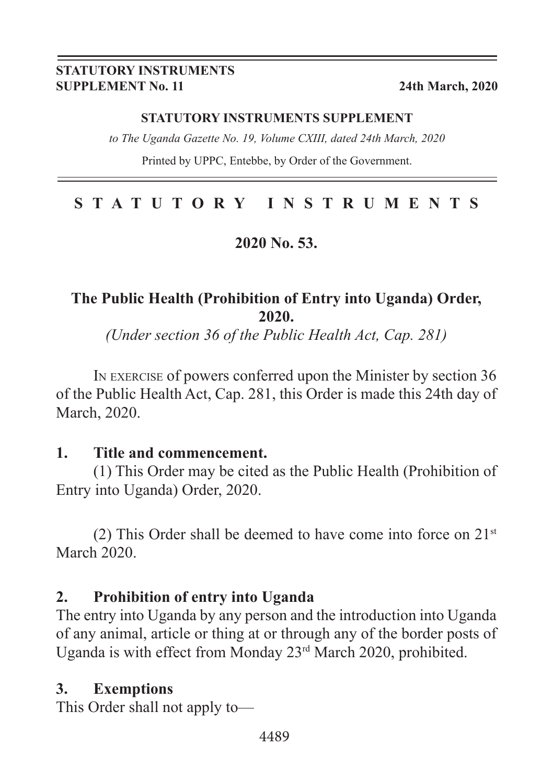#### **STATUTORY INSTRUMENTS SUPPLEMENT No. 11 24th March, 2020**

#### **STATUTORY INSTRUMENTS SUPPLEMENT**

*to The Uganda Gazette No. 19, Volume CXIII, dated 24th March, 2020*

Printed by UPPC, Entebbe, by Order of the Government.

# **STATUTORY INSTRUMENTS**

## **2020 No. 53.**

# **The Public Health (Prohibition of Entry into Uganda) Order, 2020.**

*(Under section 36 of the Public Health Act, Cap. 281)*

In exercise of powers conferred upon the Minister by section 36 of the Public Health Act, Cap. 281, this Order is made this 24th day of March, 2020.

#### **1. Title and commencement.**

(1) This Order may be cited as the Public Health (Prohibition of Entry into Uganda) Order, 2020.

(2) This Order shall be deemed to have come into force on  $21<sup>st</sup>$ March 2020.

# **2. Prohibition of entry into Uganda**

The entry into Uganda by any person and the introduction into Uganda of any animal, article or thing at or through any of the border posts of Uganda is with effect from Monday 23rd March 2020, prohibited.

## **3. Exemptions**

This Order shall not apply to—